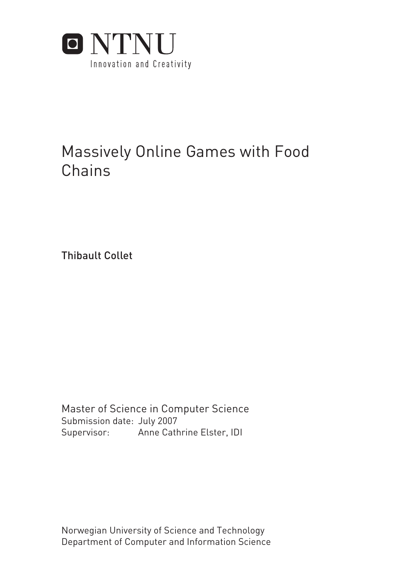

# Massively Online Games with Food Chains

Thibault Collet

Submission date: July 2007 Supervisor: Anne Cathrine Elster, IDI Master of Science in Computer Science

Norwegian University of Science and Technology Department of Computer and Information Science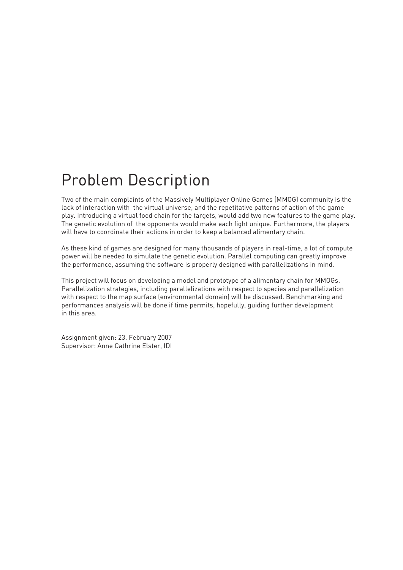# Problem Description

Two of the main complaints of the Massively Multiplayer Online Games (MMOG) community is the lack of interaction with the virtual universe, and the repetitative patterns of action of the game play. Introducing a virtual food chain for the targets, would add two new features to the game play. The genetic evolution of the opponents would make each fight unique. Furthermore, the players will have to coordinate their actions in order to keep a balanced alimentary chain.

As these kind of games are designed for many thousands of players in real-time, a lot of compute power will be needed to simulate the genetic evolution. Parallel computing can greatly improve the performance, assuming the software is properly designed with parallelizations in mind.

This project will focus on developing a model and prototype of a alimentary chain for MMOGs. Parallelization strategies, including parallelizations with respect to species and parallelization with respect to the map surface (environmental domain) will be discussed. Benchmarking and performances analysis will be done if time permits, hopefully, guiding further development in this area.

Assignment given: 23. February 2007 Supervisor: Anne Cathrine Elster, IDI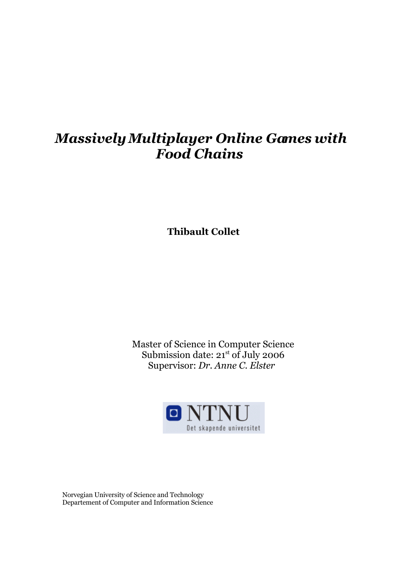# *Massively Multiplayer Online Games with Food Chains*

**Thibault Collet** 

Master of Science in Computer Science Submission date: 21st of July 2006 Supervisor: *Dr. Anne C. Elster* 



Norvegian University of Science and Technology Departement of Computer and Information Science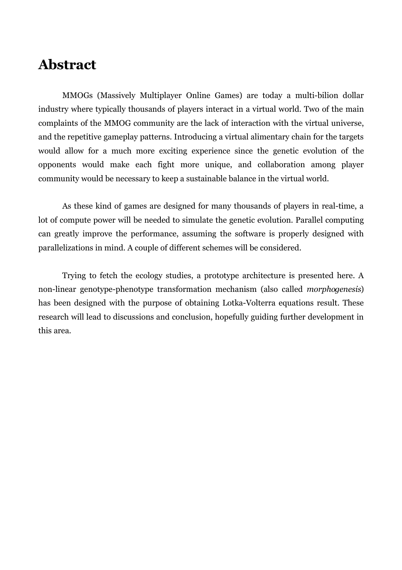## **Abstract**

MMOGs (Massively Multiplayer Online Games) are today a multi-bilion dollar industry where typically thousands of players interact in a virtual world. Two of the main complaints of the MMOG community are the lack of interaction with the virtual universe, and the repetitive gameplay patterns. Introducing a virtual alimentary chain for the targets would allow for a much more exciting experience since the genetic evolution of the opponents would make each fight more unique, and collaboration among player community would be necessary to keep a sustainable balance in the virtual world.

As these kind of games are designed for many thousands of players in real-time, a lot of compute power will be needed to simulate the genetic evolution. Parallel computing can greatly improve the performance, assuming the software is properly designed with parallelizations in mind. A couple of different schemes will be considered.

Trying to fetch the ecology studies, a prototype architecture is presented here. A non-linear genotype-phenotype transformation mechanism (also called *morphogenesis*) has been designed with the purpose of obtaining Lotka-Volterra equations result. These research will lead to discussions and conclusion, hopefully guiding further development in this area.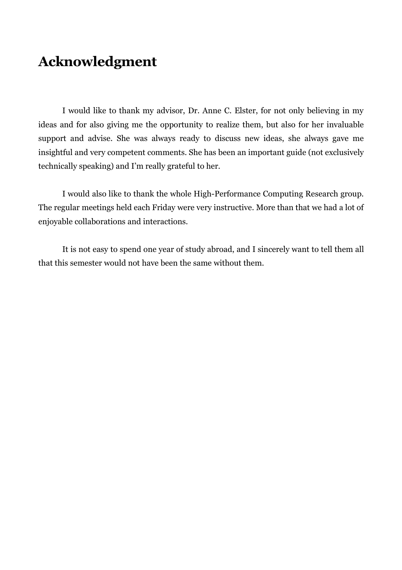# **Acknowledgment**

I would like to thank my advisor, Dr. Anne C. Elster, for not only believing in my ideas and for also giving me the opportunity to realize them, but also for her invaluable support and advise. She was always ready to discuss new ideas, she always gave me insightful and very competent comments. She has been an important guide (not exclusively technically speaking) and I'm really grateful to her.

I would also like to thank the whole High-Performance Computing Research group. The regular meetings held each Friday were very instructive. More than that we had a lot of enjoyable collaborations and interactions.

It is not easy to spend one year of study abroad, and I sincerely want to tell them all that this semester would not have been the same without them.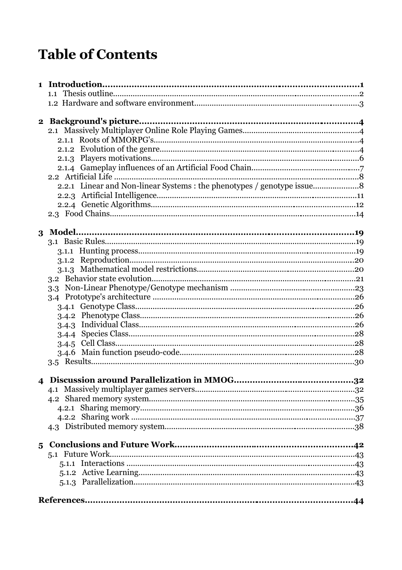# **Table of Contents**

| 2.2.1 Linear and Non-linear Systems : the phenotypes / genotype issue |  |
|-----------------------------------------------------------------------|--|
|                                                                       |  |
|                                                                       |  |
|                                                                       |  |
|                                                                       |  |
|                                                                       |  |
|                                                                       |  |
|                                                                       |  |
|                                                                       |  |
|                                                                       |  |
|                                                                       |  |
|                                                                       |  |
|                                                                       |  |
|                                                                       |  |
|                                                                       |  |
|                                                                       |  |
|                                                                       |  |
|                                                                       |  |
|                                                                       |  |
|                                                                       |  |
|                                                                       |  |
|                                                                       |  |
|                                                                       |  |
|                                                                       |  |
|                                                                       |  |
|                                                                       |  |
|                                                                       |  |
|                                                                       |  |
|                                                                       |  |
|                                                                       |  |
|                                                                       |  |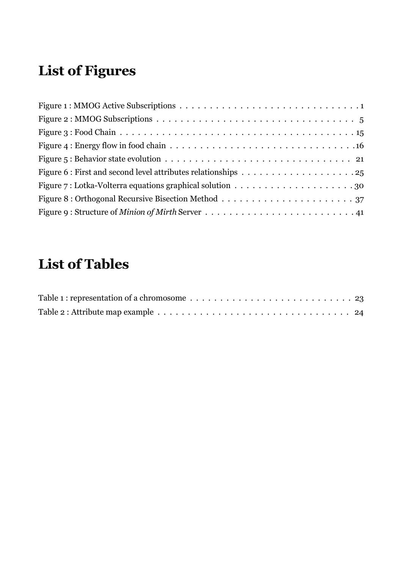# **List of Figures**

# **List of Tables**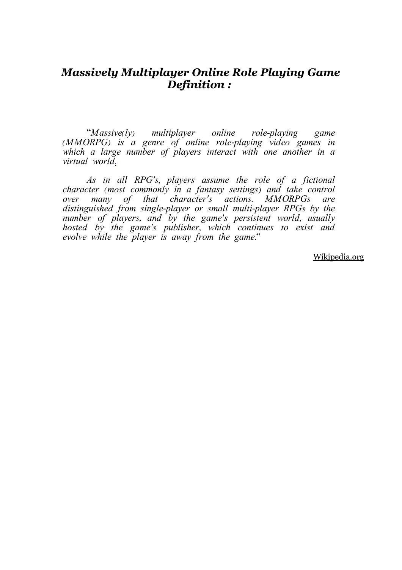### *Massively Multiplayer Online Role Playing Game Definition :*

"Massive(ly) multiplayer online role-playing game (MMORPG) is a genre of online role-playing video games in which a large number of players interact with one another in a virtual world[.](http://en.wikipedia.org/wiki/Mmorpg#_note-MMORPG.3F)

As in all RPG's, players assume the role of a fictional character (most commonly in a fantasy settings) and take control<br>over many of that character's actions. MMORPGs are over many of that character's actions. MMORPGs distinguished from single-player or small multi-player RPGs by the number of players, and by the game's persistent world, usually hosted by the game's publisher, which continues to exist and evolve while the player is away from the game."

Wikipedia.org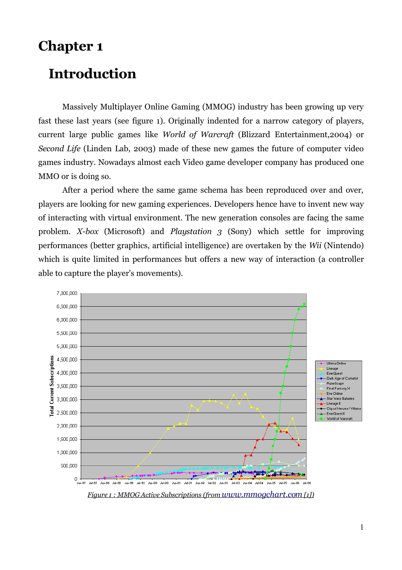## **Chapter 1**

# **Introduction**

Massively Multiplayer Online Gaming (MMOG) industry has been growing up very fast these last years (see figure 1). Originally indented for a narrow category of players, current large public games like *World of Warcraft* (Blizzard Entertainment,2004) or *Second Life* (Linden Lab, 2003) made of these new games the future of computer video games industry. Nowadays almost each Video game developer company has produced one MMO or is doing so.

After a period where the same game schema has been reproduced over and over, players are looking for new gaming experiences. Developers hence have to invent new way of interacting with virtual environment. The new generation consoles are facing the same problem. *X-box* (Microsoft) and *Playstation 3* (Sony) which settle for improving performances (better graphics, artificial intelligence) are overtaken by the *Wii* (Nintendo) which is quite limited in performances but offers a new way of interaction (a controller able to capture the player's movements).

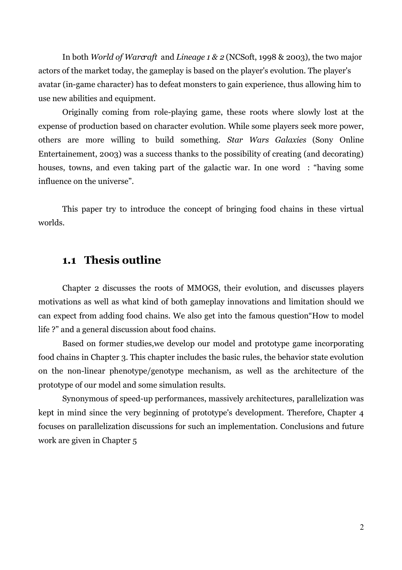In both *World of Warcraft* and *Lineage 1 & 2* (NCSoft, 1998 & 2003), the two major actors of the market today, the gameplay is based on the player's evolution. The player's avatar (in-game character) has to defeat monsters to gain experience, thus allowing him to use new abilities and equipment.

Originally coming from role-playing game, these roots where slowly lost at the expense of production based on character evolution. While some players seek more power, others are more willing to build something. *Star Wars Galaxies* (Sony Online Entertainement, 2003) was a success thanks to the possibility of creating (and decorating) houses, towns, and even taking part of the galactic war. In one word : "having some influence on the universe".

This paper try to introduce the concept of bringing food chains in these virtual worlds.

### **1.1 Thesis outline**

Chapter 2 discusses the roots of MMOGS, their evolution, and discusses players motivations as well as what kind of both gameplay innovations and limitation should we can expect from adding food chains. We also get into the famous question"How to model life ?" and a general discussion about food chains.

Based on former studies,we develop our model and prototype game incorporating food chains in Chapter 3. This chapter includes the basic rules, the behavior state evolution on the non-linear phenotype/genotype mechanism, as well as the architecture of the prototype of our model and some simulation results.

Synonymous of speed-up performances, massively architectures, parallelization was kept in mind since the very beginning of prototype's development. Therefore, Chapter 4 focuses on parallelization discussions for such an implementation. Conclusions and future work are given in Chapter 5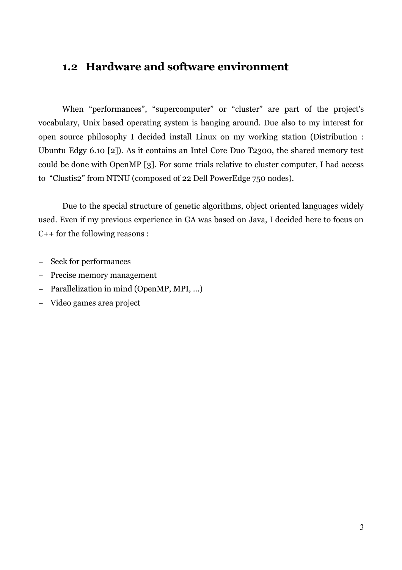### **1.2 Hardware and software environment**

When "performances", "supercomputer" or "cluster" are part of the project's vocabulary, Unix based operating system is hanging around. Due also to my interest for open source philosophy I decided install Linux on my working station (Distribution : Ubuntu Edgy 6.10 [2]). As it contains an Intel Core Duo T2300, the shared memory test could be done with OpenMP [3]. For some trials relative to cluster computer, I had access to "Clustis2" from NTNU (composed of 22 Dell PowerEdge 750 nodes).

Due to the special structure of genetic algorithms, object oriented languages widely used. Even if my previous experience in GA was based on Java, I decided here to focus on C++ for the following reasons :

- − Seek for performances
- − Precise memory management
- − Parallelization in mind (OpenMP, MPI, ...)
- − Video games area project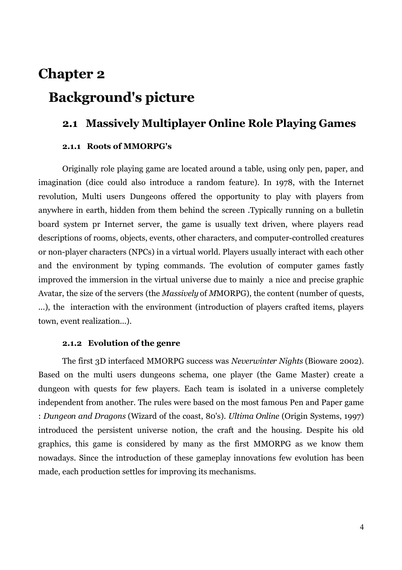# **Chapter 2 Background's picture**

### **2.1 Massively Multiplayer Online Role Playing Games**

#### **2.1.1 Roots of MMORPG's**

Originally role playing game are located around a table, using only pen, paper, and imagination (dice could also introduce a random feature). In 1978, with the Internet revolution, Multi users Dungeons offered the opportunity to play with players from anywhere in earth, hidden from them behind the screen .Typically running on a bulletin board system pr Internet server, the game is usually text driven, where players read descriptions of rooms, objects, events, other characters, and computer-controlled creatures or non-player characters (NPCs) in a virtual world. Players usually interact with each other and the environment by typing commands. The evolution of computer games fastly improved the immersion in the virtual universe due to mainly a nice and precise graphic Avatar, the size of the servers (the *Massively* of *M*MORPG), the content (number of quests, ...), the interaction with the environment (introduction of players crafted items, players town, event realization...).

#### **2.1.2 Evolution of the genre**

The first 3D interfaced MMORPG success was *Neverwinter Nights* (Bioware 2002). Based on the multi users dungeons schema, one player (the Game Master) create a dungeon with quests for few players. Each team is isolated in a universe completely independent from another. The rules were based on the most famous Pen and Paper game : *Dungeon and Dragons* (Wizard of the coast, 80's). *Ultima Online* (Origin Systems, 1997) introduced the persistent universe notion, the craft and the housing. Despite his old graphics, this game is considered by many as the first MMORPG as we know them nowadays. Since the introduction of these gameplay innovations few evolution has been made, each production settles for improving its mechanisms.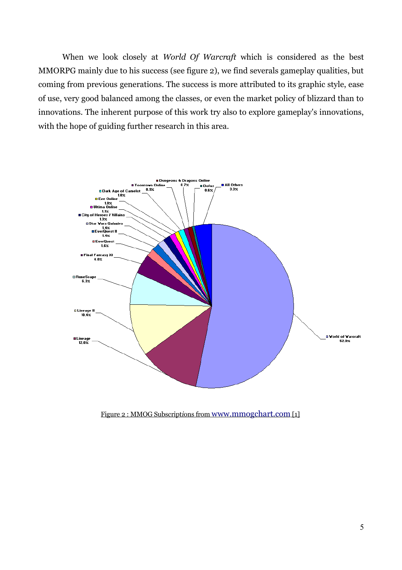When we look closely at *World Of Warcraft* which is considered as the best MMORPG mainly due to his success (see figure 2), we find severals gameplay qualities, but coming from previous generations. The success is more attributed to its graphic style, ease of use, very good balanced among the classes, or even the market policy of blizzard than to innovations. The inherent purpose of this work try also to explore gameplay's innovations, with the hope of guiding further research in this area.



Figure 2 : MMOG Subscript*i*ons from [www.mmogchart.com](http://www.mmogchart.com/) [1]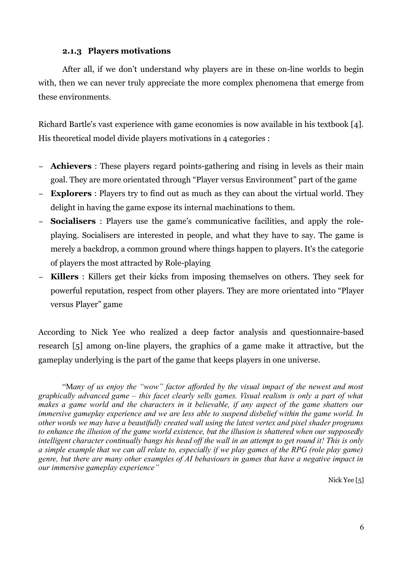#### **2.1.3 Players motivations**

After all, if we don't understand why players are in these on-line worlds to begin with, then we can never truly appreciate the more complex phenomena that emerge from these environments.

Richard Bartle's vast experience with game economies is now available in his textbook [4]. His theoretical model divide players motivations in 4 categories :

- **Achievers** : These players regard points-gathering and rising in levels as their main goal. They are more orientated through "Player versus Environment" part of the game
- **Explorers** : Players try to find out as much as they can about the virtual world. They delight in having the game expose its internal machinations to them.
- − **Socialisers** : Players use the game's communicative facilities, and apply the roleplaying. Socialisers are interested in people, and what they have to say. The game is merely a backdrop, a common ground where things happen to players. It's the categorie of players the most attracted by Role-playing
- − **Killers** : Killers get their kicks from imposing themselves on others. They seek for powerful reputation, respect from other players. They are more orientated into "Player versus Player" game

According to Nick Yee who realized a deep factor analysis and questionnaire-based research [5] among on-line players, the graphics of a game make it attractive, but the gameplay underlying is the part of the game that keeps players in one universe.

"M*any of us enjoy the "wow" factor afforded by the visual impact of the newest and most graphically advanced game – this facet clearly sells games. Visual realism is only a part of what makes a game world and the characters in it believable, if any aspect of the game shatters our immersive gameplay experience and we are less able to suspend disbelief within the game world. In other words we may have a beautifully created wall using the latest vertex and pixel shader programs to enhance the illusion of the game world existence, but the illusion is shattered when our supposedly* intelligent character continually bangs his head off the wall in an attempt to get round it! This is only a simple example that we can all relate to, especially if we play games of the RPG (role play game) *genre, but there are many other examples of AI behaviours in games that have a negative impact in our immersive gameplay experience"*

Nick Yee [5]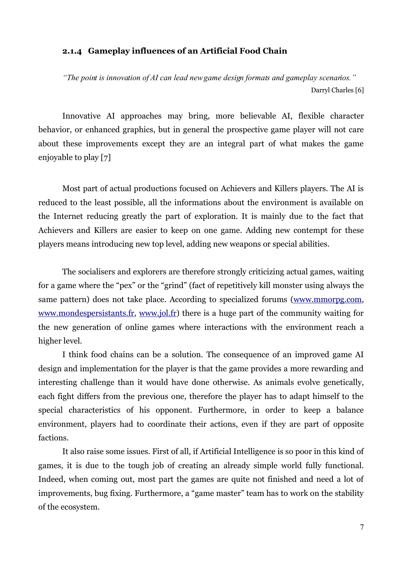#### **2.1.4 Gameplay influences of an Artificial Food Chain**

*"The point is innovation of AI can lead new game design formats and gameplay scenarios."* Darryl Charles [6]

Innovative AI approaches may bring, more believable AI, flexible character behavior, or enhanced graphics, but in general the prospective game player will not care about these improvements except they are an integral part of what makes the game enjoyable to play [7]

Most part of actual productions focused on Achievers and Killers players. The AI is reduced to the least possible, all the informations about the environment is available on the Internet reducing greatly the part of exploration. It is mainly due to the fact that Achievers and Killers are easier to keep on one game. Adding new contempt for these players means introducing new top level, adding new weapons or special abilities.

The socialisers and explorers are therefore strongly criticizing actual games, waiting for a game where the "pex" or the "grind" (fact of repetitively kill monster using always the same pattern) does not take place. According to specialized forums [\(www.mmorpg.com,](http://www.mmorpg.com/) [www.mondespersistants.fr,](http://www.mondespersistants.fr/) [www.jol.fr\)](http://www.jol.fr/) there is a huge part of the community waiting for the new generation of online games where interactions with the environment reach a higher level.

I think food chains can be a solution. The consequence of an improved game AI design and implementation for the player is that the game provides a more rewarding and interesting challenge than it would have done otherwise. As animals evolve genetically, each fight differs from the previous one, therefore the player has to adapt himself to the special characteristics of his opponent. Furthermore, in order to keep a balance environment, players had to coordinate their actions, even if they are part of opposite factions.

It also raise some issues. First of all, if Artificial Intelligence is so poor in this kind of games, it is due to the tough job of creating an already simple world fully functional. Indeed, when coming out, most part the games are quite not finished and need a lot of improvements, bug fixing. Furthermore, a "game master" team has to work on the stability of the ecosystem.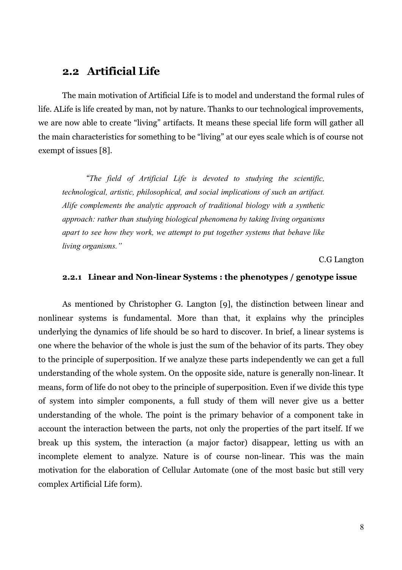### **2.2 Artificial Life**

The main motivation of Artificial Life is to model and understand the formal rules of life. ALife is life created by man, not by nature. Thanks to our technological improvements, we are now able to create "living" artifacts. It means these special life form will gather all the main characteristics for something to be "living" at our eyes scale which is of course not exempt of issues [8].

*"The field of Artificial Life is devoted to studying the scientific, technological, artistic, philosophical, and social implications of such an artifact. Alife complements the analytic approach of traditional biology with a synthetic approach: rather than studying biological phenomena by taking living organisms apart to see how they work, we attempt to put together systems that behave like living organisms."*

C.G Langton

#### **2.2.1 Linear and Non-linear Systems : the phenotypes / genotype issue**

As mentioned by Christopher G. Langton [9], the distinction between linear and nonlinear systems is fundamental. More than that, it explains why the principles underlying the dynamics of life should be so hard to discover. In brief, a linear systems is one where the behavior of the whole is just the sum of the behavior of its parts. They obey to the principle of superposition. If we analyze these parts independently we can get a full understanding of the whole system. On the opposite side, nature is generally non-linear. It means, form of life do not obey to the principle of superposition. Even if we divide this type of system into simpler components, a full study of them will never give us a better understanding of the whole. The point is the primary behavior of a component take in account the interaction between the parts, not only the properties of the part itself. If we break up this system, the interaction (a major factor) disappear, letting us with an incomplete element to analyze. Nature is of course non-linear. This was the main motivation for the elaboration of Cellular Automate (one of the most basic but still very complex Artificial Life form).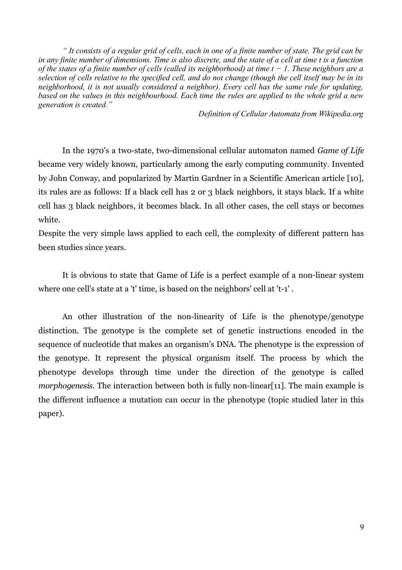"It consists of a regular grid of cells, each in one of a finite number of state. The grid can be in any finite number of dimensions. Time is also discrete, and the state of a cell at time t is a function of the states of a finite number of cells (called its neighborhood) at time  $t-1$ . These neighbors are a selection of cells relative to the specified cell, and do not change (though the cell itself may be in its *neighborhood, it is not usually considered a neighbor). Every cell has the same rule for updating,* based on the values in this neighbourhood. Each time the rules are applied to the whole grid a new *generation is created."*

*Definition of Cellular Automata from Wikipedia.org*

In the 1970's a two-state, two-dimensional cellular automaton named *Game of Life* became very widely known, particularly among the early computing community. Invented by John Conway, and popularized by Martin Gardner in a Scientific American article [10], its rules are as follows: If a black cell has 2 or 3 black neighbors, it stays black. If a white cell has 3 black neighbors, it becomes black. In all other cases, the cell stays or becomes white.

Despite the very simple laws applied to each cell, the complexity of different pattern has been studies since years.

It is obvious to state that Game of Life is a perfect example of a non-linear system where one cell's state at a 't' time, is based on the neighbors' cell at 't-1' .

An other illustration of the non-linearity of Life is the phenotype/genotype distinction. The genotype is the complete set of genetic instructions encoded in the sequence of nucleotide that makes an organism's DNA. The phenotype is the expression of the genotype. It represent the physical organism itself. The process by which the phenotype develops through time under the direction of the genotype is called *morphogenesis*. The interaction between both is fully non-linear[11]. The main example is the different influence a mutation can occur in the phenotype (topic studied later in this paper).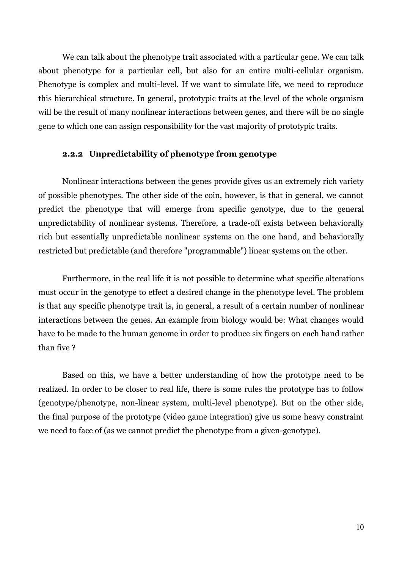We can talk about the phenotype trait associated with a particular gene. We can talk about phenotype for a particular cell, but also for an entire multi-cellular organism. Phenotype is complex and multi-level. If we want to simulate life, we need to reproduce this hierarchical structure. In general, prototypic traits at the level of the whole organism will be the result of many nonlinear interactions between genes, and there will be no single gene to which one can assign responsibility for the vast majority of prototypic traits.

#### **2.2.2 Unpredictability of phenotype from genotype**

Nonlinear interactions between the genes provide gives us an extremely rich variety of possible phenotypes. The other side of the coin, however, is that in general, we cannot predict the phenotype that will emerge from specific genotype, due to the general unpredictability of nonlinear systems. Therefore, a trade-off exists between behaviorally rich but essentially unpredictable nonlinear systems on the one hand, and behaviorally restricted but predictable (and therefore "programmable") linear systems on the other.

Furthermore, in the real life it is not possible to determine what specific alterations must occur in the genotype to effect a desired change in the phenotype level. The problem is that any specific phenotype trait is, in general, a result of a certain number of nonlinear interactions between the genes. An example from biology would be: What changes would have to be made to the human genome in order to produce six fingers on each hand rather than five ?

Based on this, we have a better understanding of how the prototype need to be realized. In order to be closer to real life, there is some rules the prototype has to follow (genotype/phenotype, non-linear system, multi-level phenotype). But on the other side, the final purpose of the prototype (video game integration) give us some heavy constraint we need to face of (as we cannot predict the phenotype from a given-genotype).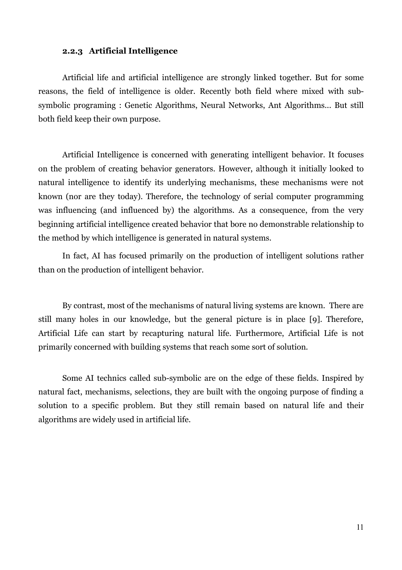#### **2.2.3 Artificial Intelligence**

Artificial life and artificial intelligence are strongly linked together. But for some reasons, the field of intelligence is older. Recently both field where mixed with subsymbolic programing : Genetic Algorithms, Neural Networks, Ant Algorithms... But still both field keep their own purpose.

Artificial Intelligence is concerned with generating intelligent behavior. It focuses on the problem of creating behavior generators. However, although it initially looked to natural intelligence to identify its underlying mechanisms, these mechanisms were not known (nor are they today). Therefore, the technology of serial computer programming was influencing (and influenced by) the algorithms. As a consequence, from the very beginning artificial intelligence created behavior that bore no demonstrable relationship to the method by which intelligence is generated in natural systems.

In fact, AI has focused primarily on the production of intelligent solutions rather than on the production of intelligent behavior.

By contrast, most of the mechanisms of natural living systems are known. There are still many holes in our knowledge, but the general picture is in place [9]. Therefore, Artificial Life can start by recapturing natural life. Furthermore, Artificial Life is not primarily concerned with building systems that reach some sort of solution.

Some AI technics called sub-symbolic are on the edge of these fields. Inspired by natural fact, mechanisms, selections, they are built with the ongoing purpose of finding a solution to a specific problem. But they still remain based on natural life and their algorithms are widely used in artificial life.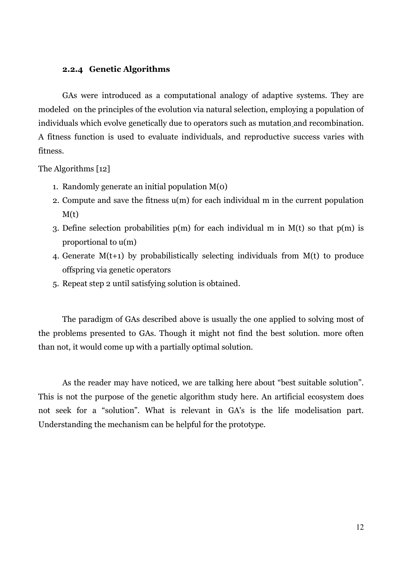#### **2.2.4 Genetic Algorithms**

GAs were introduced as a computational analogy of adaptive systems. They are modeled on the principles of the evolution via natural selection, employing a population of individuals which evolve genetically due to operators such as mutation and recombination. A fitness function is used to evaluate individuals, and reproductive success varies with fitness.

The Algorithms [12]

- 1. Randomly generate an initial population M(0)
- 2. Compute and save the fitness u(m) for each individual m in the current population  $M(t)$
- 3. Define selection probabilities  $p(m)$  for each individual m in  $M(t)$  so that  $p(m)$  is proportional to u(m)
- 4. Generate M(t+1) by probabilistically selecting individuals from M(t) to produce offspring via genetic operators
- 5. Repeat step 2 until satisfying solution is obtained.

The paradigm of GAs described above is usually the one applied to solving most of the problems presented to GAs. Though it might not find the best solution. more often than not, it would come up with a partially optimal solution.

As the reader may have noticed, we are talking here about "best suitable solution". This is not the purpose of the genetic algorithm study here. An artificial ecosystem does not seek for a "solution". What is relevant in GA's is the life modelisation part. Understanding the mechanism can be helpful for the prototype.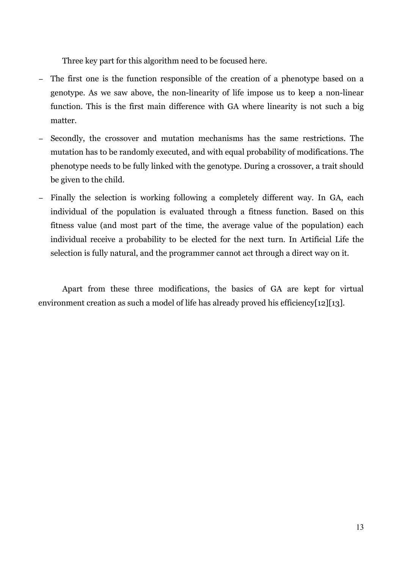Three key part for this algorithm need to be focused here.

- − The first one is the function responsible of the creation of a phenotype based on a genotype. As we saw above, the non-linearity of life impose us to keep a non-linear function. This is the first main difference with GA where linearity is not such a big matter.
- Secondly, the crossover and mutation mechanisms has the same restrictions. The mutation has to be randomly executed, and with equal probability of modifications. The phenotype needs to be fully linked with the genotype. During a crossover, a trait should be given to the child.
- − Finally the selection is working following a completely different way. In GA, each individual of the population is evaluated through a fitness function. Based on this fitness value (and most part of the time, the average value of the population) each individual receive a probability to be elected for the next turn. In Artificial Life the selection is fully natural, and the programmer cannot act through a direct way on it.

Apart from these three modifications, the basics of GA are kept for virtual environment creation as such a model of life has already proved his efficiency[12][13].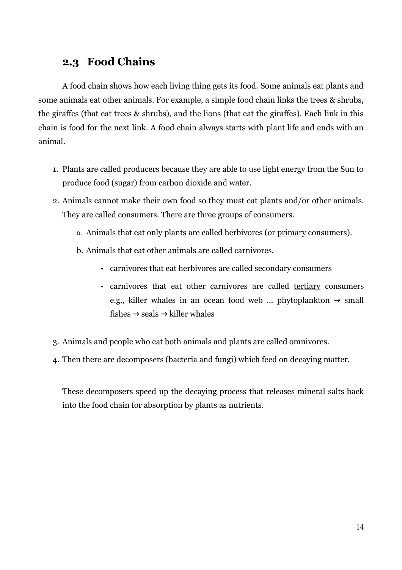### **2.3 Food Chains**

A food chain shows how each living thing gets its food. Some animals eat plants and some animals eat other animals. For example, a simple food chain links the trees & shrubs, the giraffes (that eat trees & shrubs), and the lions (that eat the giraffes). Each link in this chain is food for the next link. A food chain always starts with plant life and ends with an animal.

- 1. Plants are called producers because they are able to use light energy from the Sun to produce food (sugar) from carbon dioxide and water.
- 2. Animals cannot make their own food so they must eat plants and/or other animals. They are called consumers. There are three groups of consumers.
	- a. Animals that eat only plants are called herbivores (or primary consumers).
	- b. Animals that eat other animals are called carnivores.
		- carnivores that eat herbivores are called secondary consumers
		- carnivores that eat other carnivores are called tertiary consumers e.g., killer whales in an ocean food web ... phytoplankton  $\rightarrow$  small fishes  $\rightarrow$  seals  $\rightarrow$  killer whales
- 3. Animals and people who eat both animals and plants are called omnivores.
- 4. Then there are decomposers (bacteria and fungi) which feed on decaying matter.

These decomposers speed up the decaying process that releases mineral salts back into the food chain for absorption by plants as nutrients.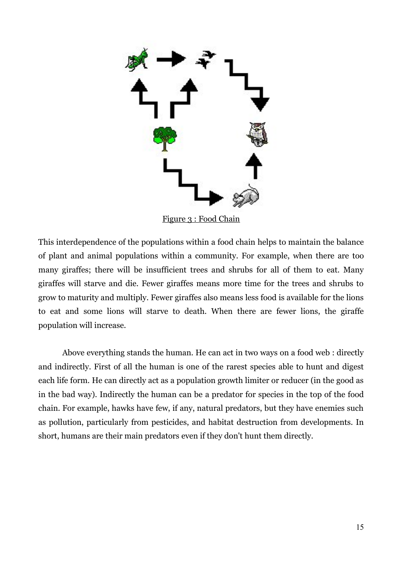

Figure 3 : Food Chain

This interdependence of the populations within a food chain helps to maintain the balance of plant and animal populations within a community. For example, when there are too many giraffes; there will be insufficient trees and shrubs for all of them to eat. Many giraffes will starve and die. Fewer giraffes means more time for the trees and shrubs to grow to maturity and multiply. Fewer giraffes also means less food is available for the lions to eat and some lions will starve to death. When there are fewer lions, the giraffe population will increase.

Above everything stands the human. He can act in two ways on a food web : directly and indirectly. First of all the human is one of the rarest species able to hunt and digest each life form. He can directly act as a population growth limiter or reducer (in the good as in the bad way). Indirectly the human can be a predator for species in the top of the food chain. For example, hawks have few, if any, natural predators, but they have enemies such as pollution, particularly from pesticides, and habitat destruction from developments. In short, humans are their main predators even if they don't hunt them directly.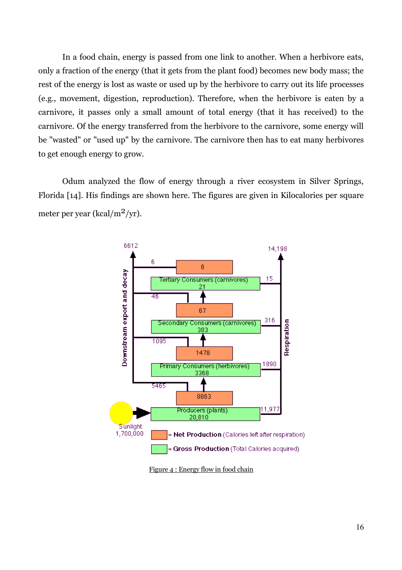In a food chain, energy is passed from one link to another. When a herbivore eats, only a fraction of the energy (that it gets from the plant food) becomes new body mass; the rest of the energy is lost as waste or used up by the herbivore to carry out its life processes (e.g., movement, digestion, reproduction). Therefore, when the herbivore is eaten by a carnivore, it passes only a small amount of total energy (that it has received) to the carnivore. Of the energy transferred from the herbivore to the carnivore, some energy will be "wasted" or "used up" by the carnivore. The carnivore then has to eat many herbivores to get enough energy to grow.

Odum analyzed the flow of energy through a river ecosystem in Silver Springs, Florida [14]. His findings are shown here. The figures are given in Kilocalories per square meter per year (kcal/m<sup>2</sup>/yr).



Figure 4 : Energy flow in food chain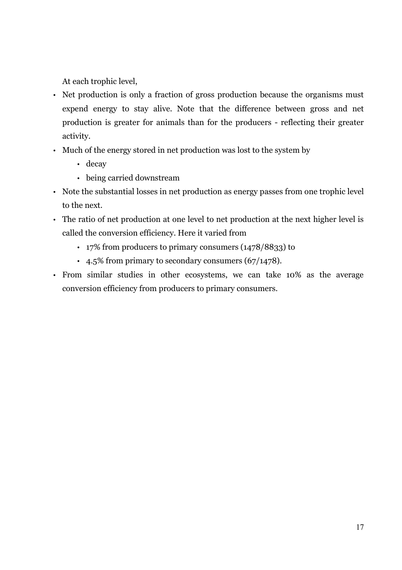At each trophic level,

- Net production is only a fraction of gross production because the organisms must expend energy to stay alive. Note that the difference between gross and net production is greater for animals than for the producers - reflecting their greater activity.
- Much of the energy stored in net production was lost to the system by
	- decay
	- being carried downstream
- Note the substantial losses in net production as energy passes from one trophic level to the next.
- The ratio of net production at one level to net production at the next higher level is called the conversion efficiency. Here it varied from
	- 17% from producers to primary consumers (1478/8833) to
	- 4.5% from primary to secondary consumers (67/1478).
- From similar studies in other ecosystems, we can take 10% as the average conversion efficiency from producers to primary consumers.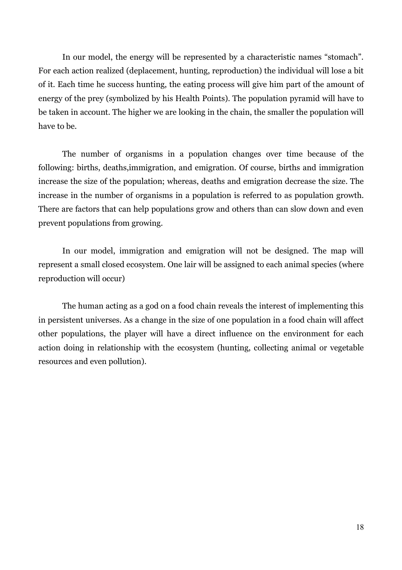In our model, the energy will be represented by a characteristic names "stomach". For each action realized (deplacement, hunting, reproduction) the individual will lose a bit of it. Each time he success hunting, the eating process will give him part of the amount of energy of the prey (symbolized by his Health Points). The population pyramid will have to be taken in account. The higher we are looking in the chain, the smaller the population will have to be.

The number of organisms in a population changes over time because of the following: births, deaths,immigration, and emigration. Of course, births and immigration increase the size of the population; whereas, deaths and emigration decrease the size. The increase in the number of organisms in a population is referred to as population growth. There are factors that can help populations grow and others than can slow down and even prevent populations from growing.

In our model, immigration and emigration will not be designed. The map will represent a small closed ecosystem. One lair will be assigned to each animal species (where reproduction will occur)

The human acting as a god on a food chain reveals the interest of implementing this in persistent universes. As a change in the size of one population in a food chain will affect other populations, the player will have a direct influence on the environment for each action doing in relationship with the ecosystem (hunting, collecting animal or vegetable resources and even pollution).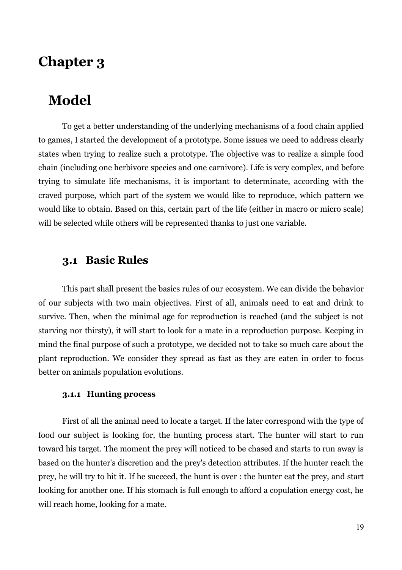# **Chapter 3**

## **Model**

To get a better understanding of the underlying mechanisms of a food chain applied to games, I started the development of a prototype. Some issues we need to address clearly states when trying to realize such a prototype. The objective was to realize a simple food chain (including one herbivore species and one carnivore). Life is very complex, and before trying to simulate life mechanisms, it is important to determinate, according with the craved purpose, which part of the system we would like to reproduce, which pattern we would like to obtain. Based on this, certain part of the life (either in macro or micro scale) will be selected while others will be represented thanks to just one variable.

### **3.1 Basic Rules**

This part shall present the basics rules of our ecosystem. We can divide the behavior of our subjects with two main objectives. First of all, animals need to eat and drink to survive. Then, when the minimal age for reproduction is reached (and the subject is not starving nor thirsty), it will start to look for a mate in a reproduction purpose. Keeping in mind the final purpose of such a prototype, we decided not to take so much care about the plant reproduction. We consider they spread as fast as they are eaten in order to focus better on animals population evolutions.

#### **3.1.1 Hunting process**

First of all the animal need to locate a target. If the later correspond with the type of food our subject is looking for, the hunting process start. The hunter will start to run toward his target. The moment the prey will noticed to be chased and starts to run away is based on the hunter's discretion and the prey's detection attributes. If the hunter reach the prey, he will try to hit it. If he succeed, the hunt is over : the hunter eat the prey, and start looking for another one. If his stomach is full enough to afford a copulation energy cost, he will reach home, looking for a mate.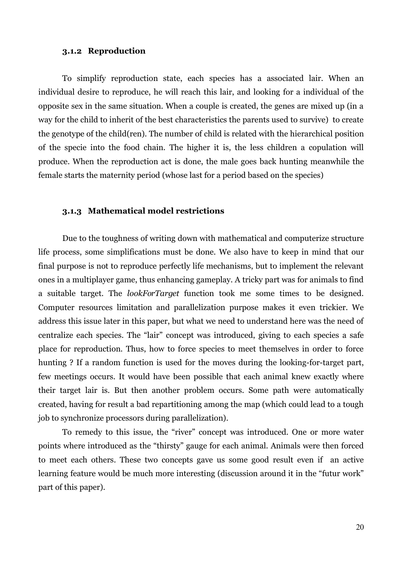#### **3.1.2 Reproduction**

To simplify reproduction state, each species has a associated lair. When an individual desire to reproduce, he will reach this lair, and looking for a individual of the opposite sex in the same situation. When a couple is created, the genes are mixed up (in a way for the child to inherit of the best characteristics the parents used to survive) to create the genotype of the child(ren). The number of child is related with the hierarchical position of the specie into the food chain. The higher it is, the less children a copulation will produce. When the reproduction act is done, the male goes back hunting meanwhile the female starts the maternity period (whose last for a period based on the species)

#### **3.1.3 Mathematical model restrictions**

Due to the toughness of writing down with mathematical and computerize structure life process, some simplifications must be done. We also have to keep in mind that our final purpose is not to reproduce perfectly life mechanisms, but to implement the relevant ones in a multiplayer game, thus enhancing gameplay. A tricky part was for animals to find a suitable target. The *lookForTarget* function took me some times to be designed. Computer resources limitation and parallelization purpose makes it even trickier. We address this issue later in this paper, but what we need to understand here was the need of centralize each species. The "lair" concept was introduced, giving to each species a safe place for reproduction. Thus, how to force species to meet themselves in order to force hunting ? If a random function is used for the moves during the looking-for-target part, few meetings occurs. It would have been possible that each animal knew exactly where their target lair is. But then another problem occurs. Some path were automatically created, having for result a bad repartitioning among the map (which could lead to a tough job to synchronize processors during parallelization).

To remedy to this issue, the "river" concept was introduced. One or more water points where introduced as the "thirsty" gauge for each animal. Animals were then forced to meet each others. These two concepts gave us some good result even if an active learning feature would be much more interesting (discussion around it in the "futur work" part of this paper).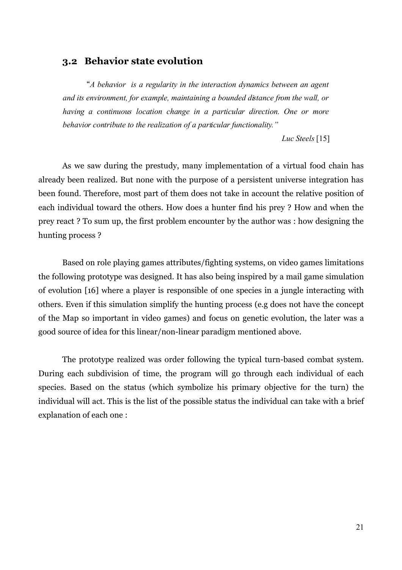#### **3.2****Behavior state evolution**

"*A behavior is a regularity in the interaction dynamics between an agent and its environment, for example, maintaining a bounded distance from the wall, or having a continuous location change in a particular direction. One or more behavior contribute to the realization of a particular functionality."*

*Luc Steels* [15]

As we saw during the prestudy, many implementation of a virtual food chain has already been realized. But none with the purpose of a persistent universe integration has been found. Therefore, most part of them does not take in account the relative position of each individual toward the others. How does a hunter find his prey ? How and when the prey react ? To sum up, the first problem encounter by the author was : how designing the hunting process ?

Based on role playing games attributes/fighting systems, on video games limitations the following prototype was designed. It has also being inspired by a mail game simulation of evolution [16] where a player is responsible of one species in a jungle interacting with others. Even if this simulation simplify the hunting process (e.g does not have the concept of the Map so important in video games) and focus on genetic evolution, the later was a good source of idea for this linear/non-linear paradigm mentioned above.

The prototype realized was order following the typical turn-based combat system. During each subdivision of time, the program will go through each individual of each species. Based on the status (which symbolize his primary objective for the turn) the individual will act. This is the list of the possible status the individual can take with a brief explanation of each one :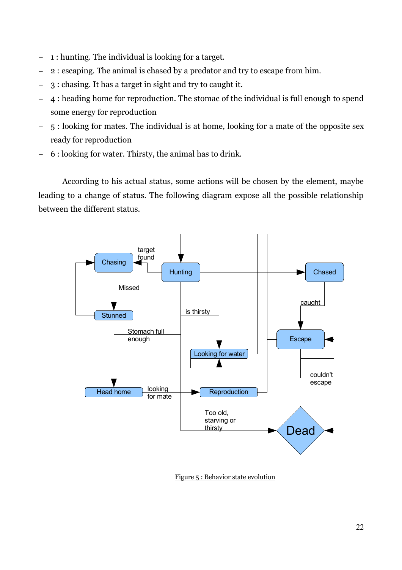- − 1 : hunting. The individual is looking for a target.
- − 2 : escaping. The animal is chased by a predator and try to escape from him.
- − 3 : chasing. It has a target in sight and try to caught it.
- − 4 : heading home for reproduction. The stomac of the individual is full enough to spend some energy for reproduction
- − 5 : looking for mates. The individual is at home, looking for a mate of the opposite sex ready for reproduction
- − 6 : looking for water. Thirsty, the animal has to drink.

According to his actual status, some actions will be chosen by the element, maybe leading to a change of status. The following diagram expose all the possible relationship between the different status.



Figure 5 : Behavior state evolution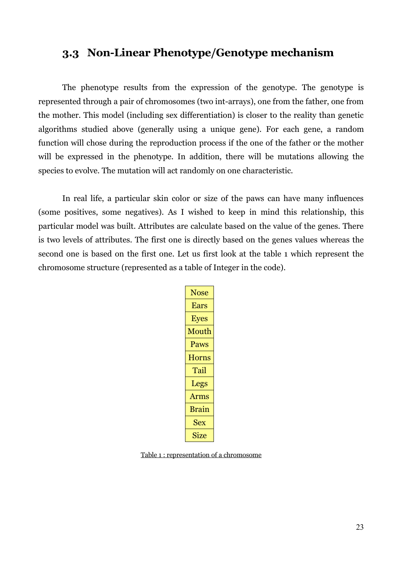### **3.3 Non-Linear Phenotype/Genotype mechanism**

The phenotype results from the expression of the genotype. The genotype is represented through a pair of chromosomes (two int-arrays), one from the father, one from the mother. This model (including sex differentiation) is closer to the reality than genetic algorithms studied above (generally using a unique gene). For each gene, a random function will chose during the reproduction process if the one of the father or the mother will be expressed in the phenotype. In addition, there will be mutations allowing the species to evolve. The mutation will act randomly on one characteristic.

In real life, a particular skin color or size of the paws can have many influences (some positives, some negatives). As I wished to keep in mind this relationship, this particular model was built. Attributes are calculate based on the value of the genes. There is two levels of attributes. The first one is directly based on the genes values whereas the second one is based on the first one. Let us first look at the table 1 which represent the chromosome structure (represented as a table of Integer in the code).

| Nose         |
|--------------|
| Ears         |
| <b>Eyes</b>  |
| Mouth        |
| Paws         |
| <b>Horns</b> |
| Tail         |
| Legs         |
| Arms         |
| <b>Brain</b> |
| <b>Sex</b>   |
| <b>Size</b>  |

Table 1 : representation of a chromosome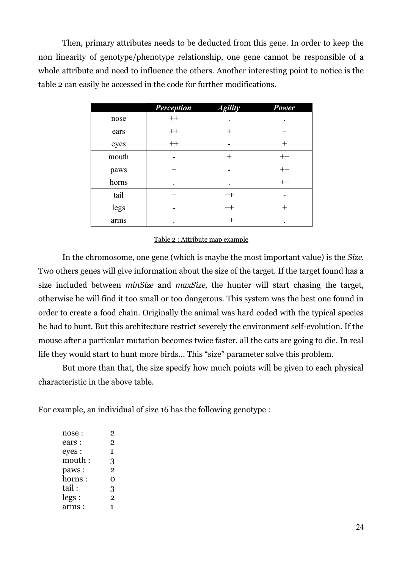Then, primary attributes needs to be deducted from this gene. In order to keep the non linearity of genotype/phenotype relationship, one gene cannot be responsible of a whole attribute and need to influence the others. Another interesting point to notice is the table 2 can easily be accessed in the code for further modifications.

|       | <b>Perception</b> | <b>Agility</b>     | Power  |
|-------|-------------------|--------------------|--------|
| nose  | $++$              |                    |        |
| ears  | $++$              | $\pm$              |        |
| eyes  | $++$              |                    | $^{+}$ |
| mouth |                   | $\hspace{0.1mm} +$ | $++$   |
| paws  | $^{+}$            |                    | $++$   |
| horns | ٠                 |                    | $++$   |
| tail  | $^{+}$            | $++$               |        |
| legs  |                   | $++$               | $\pm$  |
| arms  |                   | $++$               |        |

#### Table 2 : Attribute map example

In the chromosome, one gene (which is maybe the most important value) is the *Size*. Two others genes will give information about the size of the target. If the target found has a size included between *minSize* and *maxSize*, the hunter will start chasing the target, otherwise he will find it too small or too dangerous. This system was the best one found in order to create a food chain. Originally the animal was hard coded with the typical species he had to hunt. But this architecture restrict severely the environment self-evolution. If the mouse after a particular mutation becomes twice faster, all the cats are going to die. In real life they would start to hunt more birds... This "size" parameter solve this problem.

But more than that, the size specify how much points will be given to each physical characteristic in the above table.

For example, an individual of size 16 has the following genotype :

| nose : | 2              |
|--------|----------------|
| ears : | 2              |
| eyes : | 1              |
| mouth: | 3              |
| paws:  | 2              |
| horns: | റ              |
| tail : | 3              |
| legs:  | $\overline{2}$ |
| arms : | 1              |
|        |                |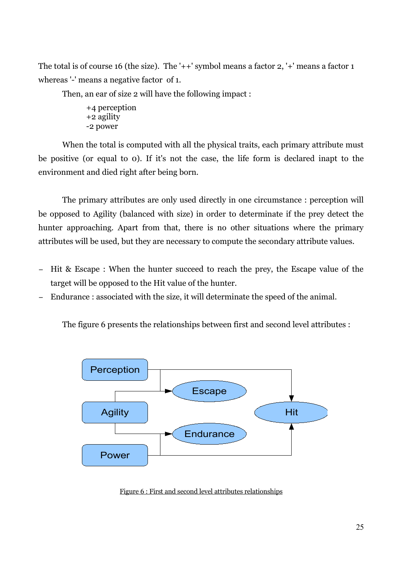The total is of course 16 (the size). The '++' symbol means a factor 2, '+' means a factor 1 whereas '-' means a negative factor of 1.

Then, an ear of size 2 will have the following impact :

+4 perception +2 agility -2 power

When the total is computed with all the physical traits, each primary attribute must be positive (or equal to 0). If it's not the case, the life form is declared inapt to the environment and died right after being born.

The primary attributes are only used directly in one circumstance : perception will be opposed to Agility (balanced with size) in order to determinate if the prey detect the hunter approaching. Apart from that, there is no other situations where the primary attributes will be used, but they are necessary to compute the secondary attribute values.

- − Hit & Escape : When the hunter succeed to reach the prey, the Escape value of the target will be opposed to the Hit value of the hunter.
- Endurance : associated with the size, it will determinate the speed of the animal.

The figure 6 presents the relationships between first and second level attributes :



Figure 6 : First and second level attributes relationships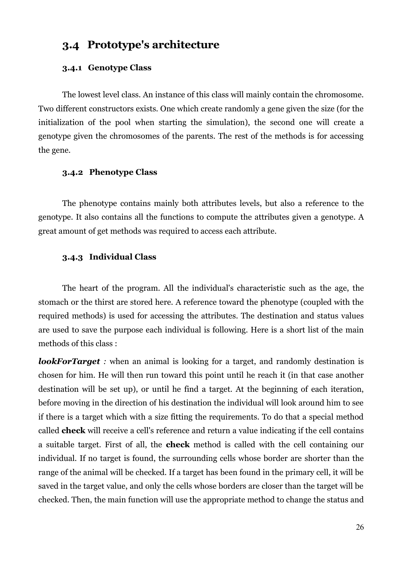## **3.4 Prototype's architecture**

#### **3.4.1 Genotype Class**

The lowest level class. An instance of this class will mainly contain the chromosome. Two different constructors exists. One which create randomly a gene given the size (for the initialization of the pool when starting the simulation), the second one will create a genotype given the chromosomes of the parents. The rest of the methods is for accessing the gene.

#### **3.4.2 Phenotype Class**

The phenotype contains mainly both attributes levels, but also a reference to the genotype. It also contains all the functions to compute the attributes given a genotype. A great amount of get methods was required to access each attribute.

#### **3.4.3 Individual Class**

The heart of the program. All the individual's characteristic such as the age, the stomach or the thirst are stored here. A reference toward the phenotype (coupled with the required methods) is used for accessing the attributes. The destination and status values are used to save the purpose each individual is following. Here is a short list of the main methods of this class :

*lookForTarget* : when an animal is looking for a target, and randomly destination is chosen for him. He will then run toward this point until he reach it (in that case another destination will be set up), or until he find a target. At the beginning of each iteration, before moving in the direction of his destination the individual will look around him to see if there is a target which with a size fitting the requirements. To do that a special method called **check** will receive a cell's reference and return a value indicating if the cell contains a suitable target. First of all, the **check** method is called with the cell containing our individual. If no target is found, the surrounding cells whose border are shorter than the range of the animal will be checked. If a target has been found in the primary cell, it will be saved in the target value, and only the cells whose borders are closer than the target will be checked. Then, the main function will use the appropriate method to change the status and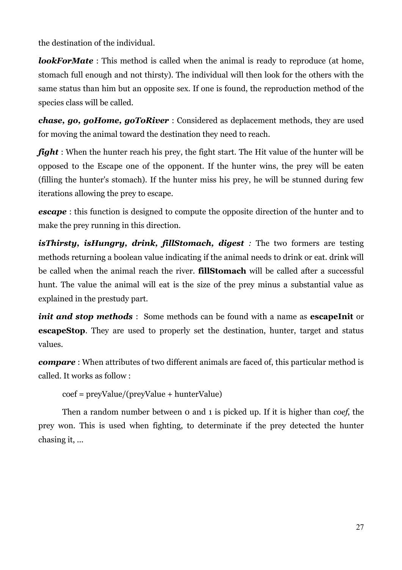the destination of the individual.

*lookForMate*: This method is called when the animal is ready to reproduce (at home, stomach full enough and not thirsty). The individual will then look for the others with the same status than him but an opposite sex. If one is found, the reproduction method of the species class will be called.

*chase, go, goHome, goToRiver* : Considered as deplacement methods, they are used for moving the animal toward the destination they need to reach.

*fight* : When the hunter reach his prey, the fight start. The Hit value of the hunter will be opposed to the Escape one of the opponent. If the hunter wins, the prey will be eaten (filling the hunter's stomach). If the hunter miss his prey, he will be stunned during few iterations allowing the prey to escape.

**escape**: this function is designed to compute the opposite direction of the hunter and to make the prey running in this direction.

*isThirsty, isHungry, drink, fillStomach, digest :* The two formers are testing methods returning a boolean value indicating if the animal needs to drink or eat. drink will be called when the animal reach the river. **fillStomach** will be called after a successful hunt. The value the animal will eat is the size of the prey minus a substantial value as explained in the prestudy part.

*init and stop methods* : Some methods can be found with a name as **escapeInit** or **escapeStop**. They are used to properly set the destination, hunter, target and status values.

*compare* : When attributes of two different animals are faced of, this particular method is called. It works as follow :

coef = preyValue/(preyValue + hunterValue)

Then a random number between 0 and 1 is picked up. If it is higher than *coef*, the prey won. This is used when fighting, to determinate if the prey detected the hunter chasing it, ...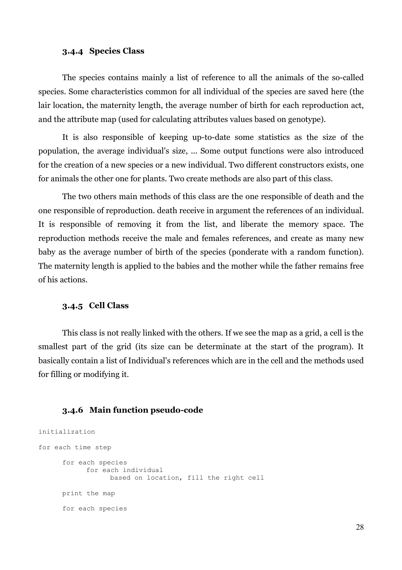#### **3.4.4 Species Class**

The species contains mainly a list of reference to all the animals of the so-called species. Some characteristics common for all individual of the species are saved here (the lair location, the maternity length, the average number of birth for each reproduction act, and the attribute map (used for calculating attributes values based on genotype).

It is also responsible of keeping up-to-date some statistics as the size of the population, the average individual's size, ... Some output functions were also introduced for the creation of a new species or a new individual. Two different constructors exists, one for animals the other one for plants. Two create methods are also part of this class.

The two others main methods of this class are the one responsible of death and the one responsible of reproduction. death receive in argument the references of an individual. It is responsible of removing it from the list, and liberate the memory space. The reproduction methods receive the male and females references, and create as many new baby as the average number of birth of the species (ponderate with a random function). The maternity length is applied to the babies and the mother while the father remains free of his actions.

#### **3.4.5 Cell Class**

This class is not really linked with the others. If we see the map as a grid, a cell is the smallest part of the grid (its size can be determinate at the start of the program). It basically contain a list of Individual's references which are in the cell and the methods used for filling or modifying it.

#### **3.4.6 Main function pseudo-code**

```
initialization
for each time step
      for each species
           for each individual
                 based on location, fill the right cell
      print the map
      for each species
```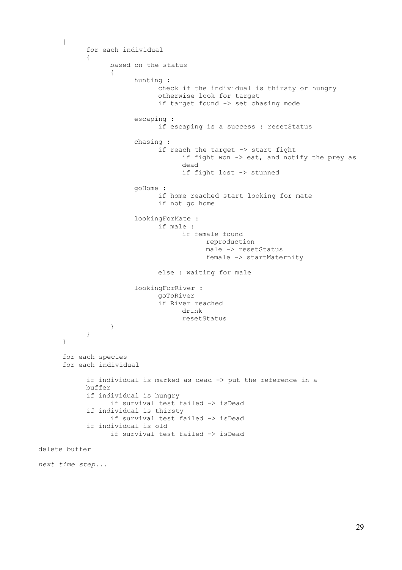```
{
            for each individual
            {
                  based on the status
                  {
                        hunting : 
                              check if the individual is thirsty or hungry
                              otherwise look for target
                              if target found -> set chasing mode
                        escaping :
                              if escaping is a success : resetStatus
                        chasing : 
                              if reach the target -> start fight
                                    if fight won -> eat, and notify the prey as
                                    dead
                                    if fight lost -> stunned 
                        goHome : 
                              if home reached start looking for mate
                              if not go home
                        lookingForMate :
                              if male :
                                    if female found
                                          reproduction
                                          male -> resetStatus
                                          female -> startMaternity
                              else : waiting for male
                        lookingForRiver :
                              goToRiver
                              if River reached
                                    drink
                                    resetStatus
                 }
            }
      }
      for each species
      for each individual
            if individual is marked as dead -> put the reference in a 
            buffer
            if individual is hungry
                  if survival test failed -> isDead
            if individual is thirsty
                  if survival test failed -> isDead
            if individual is old
                  if survival test failed -> isDead
delete buffer
next time step...
```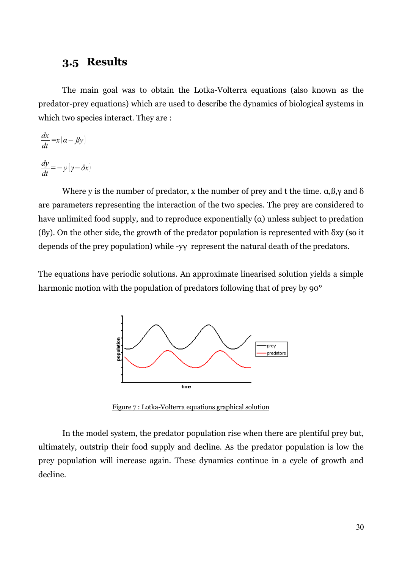## **3.5 Results**

The main goal was to obtain the Lotka-Volterra equations (also known as the predator-prey equations) which are used to describe the dynamics of biological systems in which two species interact. They are :

$$
\frac{dx}{dt} = x(\alpha - \beta y)
$$

$$
\frac{dy}{dt} = -y(y - \delta x)
$$

Where y is the number of predator, x the number of prey and t the time.  $\alpha, \beta, \gamma$  and  $\delta$ are parameters representing the interaction of the two species. The prey are considered to have unlimited food supply, and to reproduce exponentially  $(\alpha)$  unless subject to predation (ßy). On the other side, the growth of the predator population is represented with δxy (so it depends of the prey population) while -yγ represent the natural death of the predators.

The equations have periodic solutions. An approximate linearised solution yields a simple harmonic motion with the population of predators following that of prey by 90°



Figure 7 : Lotka-Volterra equations graphical solution

In the model system, the predator population rise when there are plentiful prey but, ultimately, outstrip their food supply and decline. As the predator population is low the prey population will increase again. These dynamics continue in a cycle of growth and decline.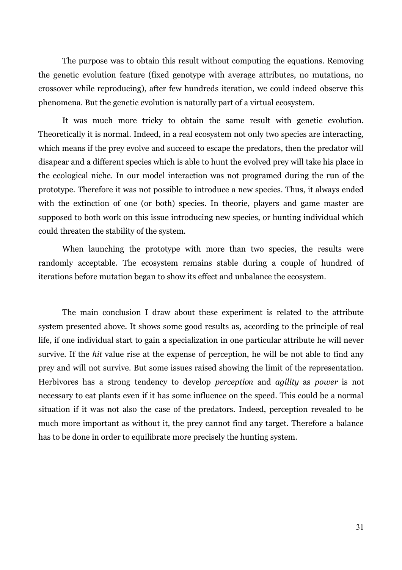The purpose was to obtain this result without computing the equations. Removing the genetic evolution feature (fixed genotype with average attributes, no mutations, no crossover while reproducing), after few hundreds iteration, we could indeed observe this phenomena. But the genetic evolution is naturally part of a virtual ecosystem.

It was much more tricky to obtain the same result with genetic evolution. Theoretically it is normal. Indeed, in a real ecosystem not only two species are interacting, which means if the prey evolve and succeed to escape the predators, then the predator will disapear and a different species which is able to hunt the evolved prey will take his place in the ecological niche. In our model interaction was not programed during the run of the prototype. Therefore it was not possible to introduce a new species. Thus, it always ended with the extinction of one (or both) species. In theorie, players and game master are supposed to both work on this issue introducing new species, or hunting individual which could threaten the stability of the system.

When launching the prototype with more than two species, the results were randomly acceptable. The ecosystem remains stable during a couple of hundred of iterations before mutation began to show its effect and unbalance the ecosystem.

The main conclusion I draw about these experiment is related to the attribute system presented above. It shows some good results as, according to the principle of real life, if one individual start to gain a specialization in one particular attribute he will never survive. If the *hit* value rise at the expense of perception, he will be not able to find any prey and will not survive. But some issues raised showing the limit of the representation. Herbivores has a strong tendency to develop *perception* and *agility* as *power* is not necessary to eat plants even if it has some influence on the speed. This could be a normal situation if it was not also the case of the predators. Indeed, perception revealed to be much more important as without it, the prey cannot find any target. Therefore a balance has to be done in order to equilibrate more precisely the hunting system.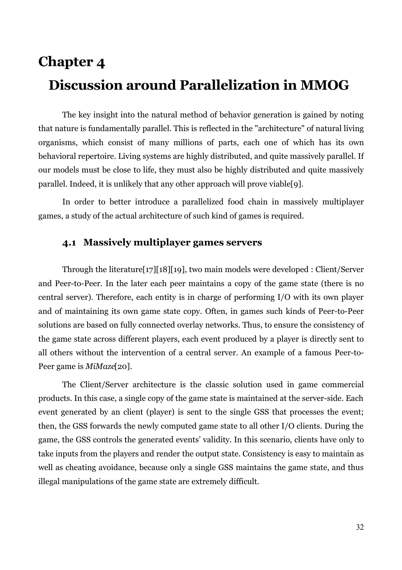# **Chapter 4 Discussion around Parallelization in MMOG**

The key insight into the natural method of behavior generation is gained by noting that nature is fundamentally parallel. This is reflected in the "architecture" of natural living organisms, which consist of many millions of parts, each one of which has its own behavioral repertoire. Living systems are highly distributed, and quite massively parallel. If our models must be close to life, they must also be highly distributed and quite massively parallel. Indeed, it is unlikely that any other approach will prove viable[9].

In order to better introduce a parallelized food chain in massively multiplayer games, a study of the actual architecture of such kind of games is required.

### **4.1 Massively multiplayer games servers**

Through the literature[17][18][19], two main models were developed : Client/Server and Peer-to-Peer. In the later each peer maintains a copy of the game state (there is no central server). Therefore, each entity is in charge of performing I/O with its own player and of maintaining its own game state copy. Often, in games such kinds of Peer-to-Peer solutions are based on fully connected overlay networks. Thus, to ensure the consistency of the game state across different players, each event produced by a player is directly sent to all others without the intervention of a central server. An example of a famous Peer-to-Peer game is *MiMaze*[20].

The Client/Server architecture is the classic solution used in game commercial products. In this case, a single copy of the game state is maintained at the server-side. Each event generated by an client (player) is sent to the single GSS that processes the event; then, the GSS forwards the newly computed game state to all other I/O clients. During the game, the GSS controls the generated events' validity. In this scenario, clients have only to take inputs from the players and render the output state. Consistency is easy to maintain as well as cheating avoidance, because only a single GSS maintains the game state, and thus illegal manipulations of the game state are extremely difficult.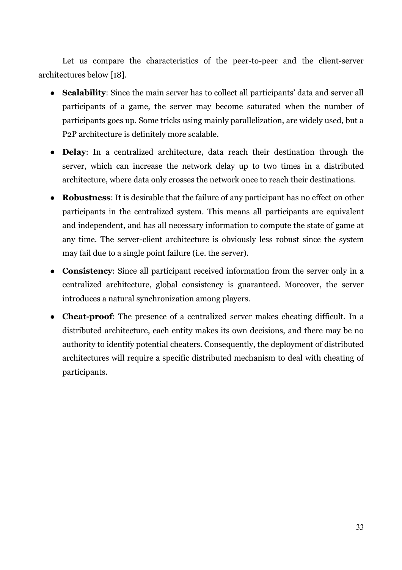Let us compare the characteristics of the peer-to-peer and the client-server architectures below [18].

- **Scalability**: Since the main server has to collect all participants' data and server all participants of a game, the server may become saturated when the number of participants goes up. Some tricks using mainly parallelization, are widely used, but a P2P architecture is definitely more scalable.
- **Delay**: In a centralized architecture, data reach their destination through the server, which can increase the network delay up to two times in a distributed architecture, where data only crosses the network once to reach their destinations.
- **Robustness**: It is desirable that the failure of any participant has no effect on other participants in the centralized system. This means all participants are equivalent and independent, and has all necessary information to compute the state of game at any time. The server-client architecture is obviously less robust since the system may fail due to a single point failure (i.e. the server).
- **Consistency**: Since all participant received information from the server only in a centralized architecture, global consistency is guaranteed. Moreover, the server introduces a natural synchronization among players.
- **Cheat-proof**: The presence of a centralized server makes cheating difficult. In a distributed architecture, each entity makes its own decisions, and there may be no authority to identify potential cheaters. Consequently, the deployment of distributed architectures will require a specific distributed mechanism to deal with cheating of participants.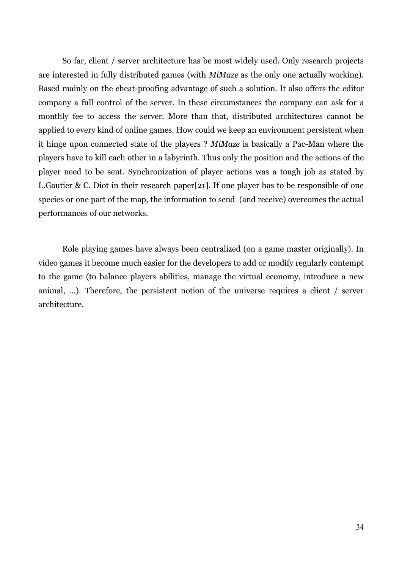So far, client / server architecture has be most widely used. Only research projects are interested in fully distributed games (with *MiMaze* as the only one actually working). Based mainly on the cheat-proofing advantage of such a solution. It also offers the editor company a full control of the server. In these circumstances the company can ask for a monthly fee to access the server. More than that, distributed architectures cannot be applied to every kind of online games. How could we keep an environment persistent when it hinge upon connected state of the players ? *MiMaze* is basically a Pac-Man where the players have to kill each other in a labyrinth. Thus only the position and the actions of the player need to be sent. Synchronization of player actions was a tough job as stated by L.Gautier & C. Diot in their research paper[21]. If one player has to be responsible of one species or one part of the map, the information to send (and receive) overcomes the actual performances of our networks.

Role playing games have always been centralized (on a game master originally). In video games it become much easier for the developers to add or modify regularly contempt to the game (to balance players abilities, manage the virtual economy, introduce a new animal, ...). Therefore, the persistent notion of the universe requires a client / server architecture.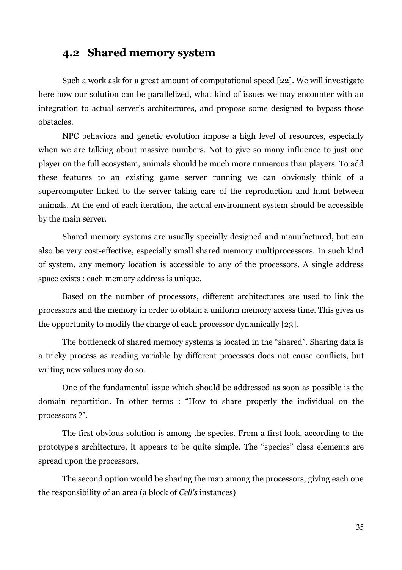### **4.2 Shared memory system**

Such a work ask for a great amount of computational speed [22]. We will investigate here how our solution can be parallelized, what kind of issues we may encounter with an integration to actual server's architectures, and propose some designed to bypass those obstacles.

NPC behaviors and genetic evolution impose a high level of resources, especially when we are talking about massive numbers. Not to give so many influence to just one player on the full ecosystem, animals should be much more numerous than players. To add these features to an existing game server running we can obviously think of a supercomputer linked to the server taking care of the reproduction and hunt between animals. At the end of each iteration, the actual environment system should be accessible by the main server.

Shared memory systems are usually specially designed and manufactured, but can also be very cost-effective, especially small shared memory multiprocessors. In such kind of system, any memory location is accessible to any of the processors. A single address space exists : each memory address is unique.

Based on the number of processors, different architectures are used to link the processors and the memory in order to obtain a uniform memory access time. This gives us the opportunity to modify the charge of each processor dynamically [23].

The bottleneck of shared memory systems is located in the "shared". Sharing data is a tricky process as reading variable by different processes does not cause conflicts, but writing new values may do so.

One of the fundamental issue which should be addressed as soon as possible is the domain repartition. In other terms : "How to share properly the individual on the processors ?".

The first obvious solution is among the species. From a first look, according to the prototype's architecture, it appears to be quite simple. The "species" class elements are spread upon the processors.

The second option would be sharing the map among the processors, giving each one the responsibility of an area (a block of *Cell's* instances)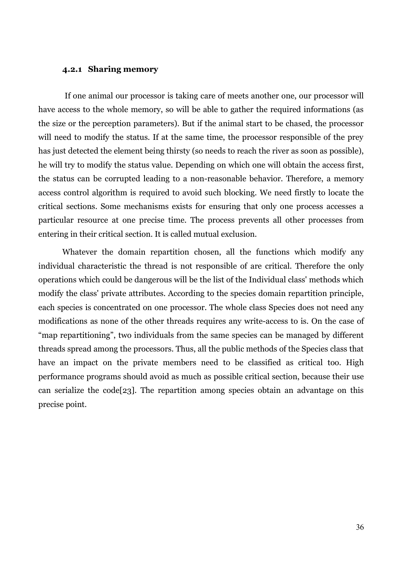#### **4.2.1 Sharing memory**

If one animal our processor is taking care of meets another one, our processor will have access to the whole memory, so will be able to gather the required informations (as the size or the perception parameters). But if the animal start to be chased, the processor will need to modify the status. If at the same time, the processor responsible of the prey has just detected the element being thirsty (so needs to reach the river as soon as possible), he will try to modify the status value. Depending on which one will obtain the access first, the status can be corrupted leading to a non-reasonable behavior. Therefore, a memory access control algorithm is required to avoid such blocking. We need firstly to locate the critical sections. Some mechanisms exists for ensuring that only one process accesses a particular resource at one precise time. The process prevents all other processes from entering in their critical section. It is called mutual exclusion.

Whatever the domain repartition chosen, all the functions which modify any individual characteristic the thread is not responsible of are critical. Therefore the only operations which could be dangerous will be the list of the Individual class' methods which modify the class' private attributes. According to the species domain repartition principle, each species is concentrated on one processor. The whole class Species does not need any modifications as none of the other threads requires any write-access to is. On the case of "map repartitioning", two individuals from the same species can be managed by different threads spread among the processors. Thus, all the public methods of the Species class that have an impact on the private members need to be classified as critical too. High performance programs should avoid as much as possible critical section, because their use can serialize the code[23]. The repartition among species obtain an advantage on this precise point.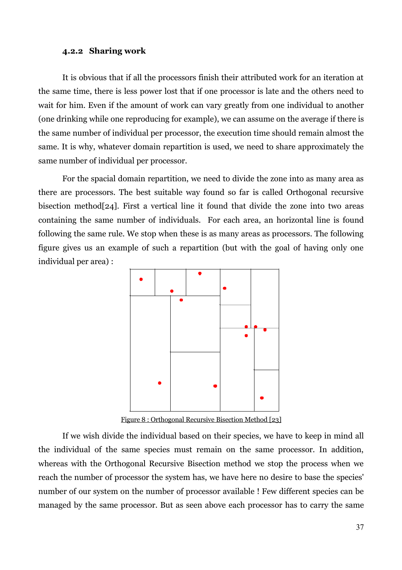#### **4.2.2 Sharing work**

It is obvious that if all the processors finish their attributed work for an iteration at the same time, there is less power lost that if one processor is late and the others need to wait for him. Even if the amount of work can vary greatly from one individual to another (one drinking while one reproducing for example), we can assume on the average if there is the same number of individual per processor, the execution time should remain almost the same. It is why, whatever domain repartition is used, we need to share approximately the same number of individual per processor.

For the spacial domain repartition, we need to divide the zone into as many area as there are processors. The best suitable way found so far is called Orthogonal recursive bisection method[24]. First a vertical line it found that divide the zone into two areas containing the same number of individuals. For each area, an horizontal line is found following the same rule. We stop when these is as many areas as processors. The following figure gives us an example of such a repartition (but with the goal of having only one individual per area) :



Figure 8 : Orthogonal Recursive Bisection Method [23]

If we wish divide the individual based on their species, we have to keep in mind all the individual of the same species must remain on the same processor. In addition, whereas with the Orthogonal Recursive Bisection method we stop the process when we reach the number of processor the system has, we have here no desire to base the species' number of our system on the number of processor available ! Few different species can be managed by the same processor. But as seen above each processor has to carry the same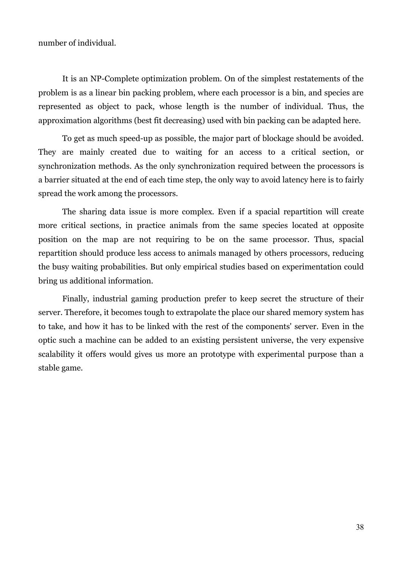number of individual.

It is an NP-Complete optimization problem. On of the simplest restatements of the problem is as a linear bin packing problem, where each processor is a bin, and species are represented as object to pack, whose length is the number of individual. Thus, the approximation algorithms (best fit decreasing) used with bin packing can be adapted here.

To get as much speed-up as possible, the major part of blockage should be avoided. They are mainly created due to waiting for an access to a critical section, or synchronization methods. As the only synchronization required between the processors is a barrier situated at the end of each time step, the only way to avoid latency here is to fairly spread the work among the processors.

The sharing data issue is more complex. Even if a spacial repartition will create more critical sections, in practice animals from the same species located at opposite position on the map are not requiring to be on the same processor. Thus, spacial repartition should produce less access to animals managed by others processors, reducing the busy waiting probabilities. But only empirical studies based on experimentation could bring us additional information.

Finally, industrial gaming production prefer to keep secret the structure of their server. Therefore, it becomes tough to extrapolate the place our shared memory system has to take, and how it has to be linked with the rest of the components' server. Even in the optic such a machine can be added to an existing persistent universe, the very expensive scalability it offers would gives us more an prototype with experimental purpose than a stable game.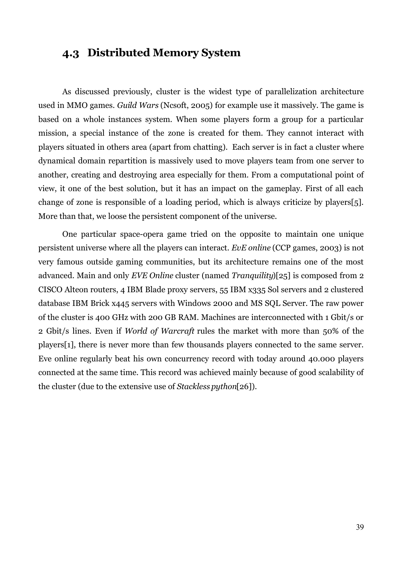### **4.3 Distributed Memory System**

As discussed previously, cluster is the widest type of parallelization architecture used in MMO games. *Guild Wars* (Ncsoft, 2005) for example use it massively. The game is based on a whole instances system. When some players form a group for a particular mission, a special instance of the zone is created for them. They cannot interact with players situated in others area (apart from chatting). Each server is in fact a cluster where dynamical domain repartition is massively used to move players team from one server to another, creating and destroying area especially for them. From a computational point of view, it one of the best solution, but it has an impact on the gameplay. First of all each change of zone is responsible of a loading period, which is always criticize by players[5]. More than that, we loose the persistent component of the universe.

One particular space-opera game tried on the opposite to maintain one unique persistent universe where all the players can interact. *EvE online* (CCP games, 2003) is not very famous outside gaming communities, but its architecture remains one of the most advanced. Main and only *EVE Online* cluster (named *Tranquility*)[25] is composed from 2 CISCO Alteon routers, 4 IBM Blade proxy servers, 55 IBM x335 Sol servers and 2 clustered database IBM Brick x445 servers with Windows 2000 and MS SQL Server. The raw power of the cluster is 400 GHz with 200 GB RAM. Machines are interconnected with 1 Gbit/s or 2 Gbit/s lines. Even if *World of Warcraft* rules the market with more than 50% of the players[1], there is never more than few thousands players connected to the same server. Eve online regularly beat his own concurrency record with today around 40.000 players connected at the same time. This record was achieved mainly because of good scalability of the cluster (due to the extensive use of *Stackless python*[26]).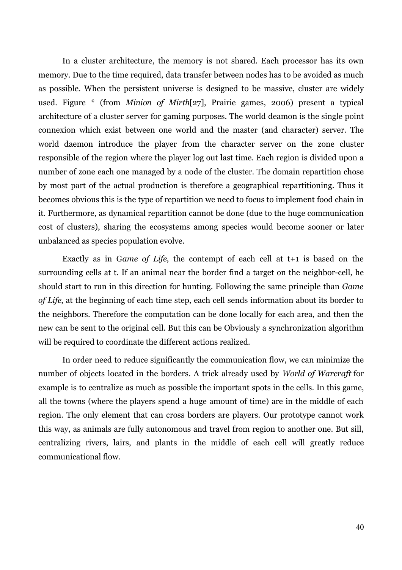In a cluster architecture, the memory is not shared. Each processor has its own memory. Due to the time required, data transfer between nodes has to be avoided as much as possible. When the persistent universe is designed to be massive, cluster are widely used. Figure \* (from *Minion of Mirth*[27], Prairie games, 2006) present a typical architecture of a cluster server for gaming purposes. The world deamon is the single point connexion which exist between one world and the master (and character) server. The world daemon introduce the player from the character server on the zone cluster responsible of the region where the player log out last time. Each region is divided upon a number of zone each one managed by a node of the cluster. The domain repartition chose by most part of the actual production is therefore a geographical repartitioning. Thus it becomes obvious this is the type of repartition we need to focus to implement food chain in it. Furthermore, as dynamical repartition cannot be done (due to the huge communication cost of clusters), sharing the ecosystems among species would become sooner or later unbalanced as species population evolve.

Exactly as in G*ame of Life*, the contempt of each cell at t+1 is based on the surrounding cells at t. If an animal near the border find a target on the neighbor-cell, he should start to run in this direction for hunting. Following the same principle than *Game of Life*, at the beginning of each time step, each cell sends information about its border to the neighbors. Therefore the computation can be done locally for each area, and then the new can be sent to the original cell. But this can be Obviously a synchronization algorithm will be required to coordinate the different actions realized.

In order need to reduce significantly the communication flow, we can minimize the number of objects located in the borders. A trick already used by *World of Warcraft* for example is to centralize as much as possible the important spots in the cells. In this game, all the towns (where the players spend a huge amount of time) are in the middle of each region. The only element that can cross borders are players. Our prototype cannot work this way, as animals are fully autonomous and travel from region to another one. But sill, centralizing rivers, lairs, and plants in the middle of each cell will greatly reduce communicational flow.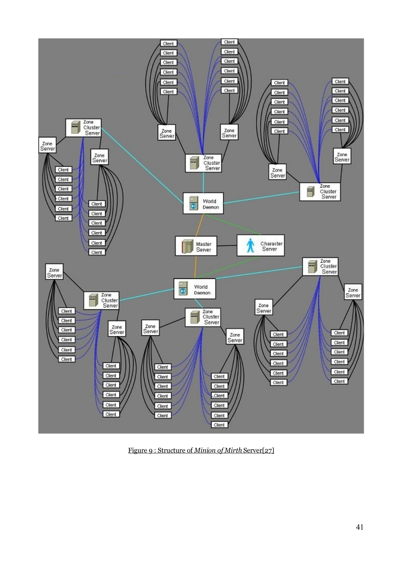

Figure 9 : Structure of *Minion of Mirth* Server[27]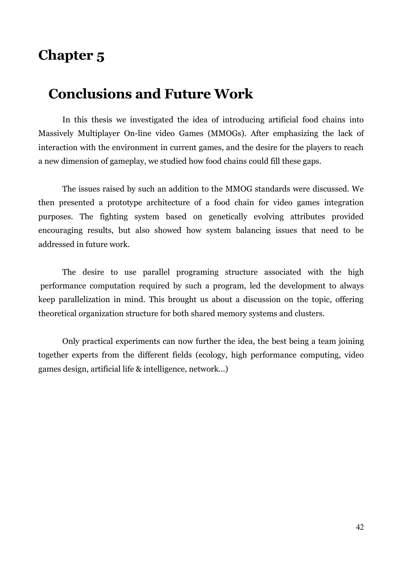## **Chapter 5**

## **Conclusions and Future Work**

In this thesis we investigated the idea of introducing artificial food chains into Massively Multiplayer On-line video Games (MMOGs). After emphasizing the lack of interaction with the environment in current games, and the desire for the players to reach a new dimension of gameplay, we studied how food chains could fill these gaps.

The issues raised by such an addition to the MMOG standards were discussed. We then presented a prototype architecture of a food chain for video games integration purposes. The fighting system based on genetically evolving attributes provided encouraging results, but also showed how system balancing issues that need to be addressed in future work.

The desire to use parallel programing structure associated with the high performance computation required by such a program, led the development to always keep parallelization in mind. This brought us about a discussion on the topic, offering theoretical organization structure for both shared memory systems and clusters.

Only practical experiments can now further the idea, the best being a team joining together experts from the different fields (ecology, high performance computing, video games design, artificial life & intelligence, network...)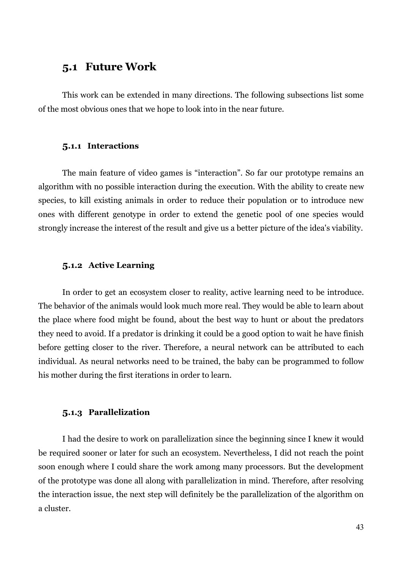### **5.1 Future Work**

This work can be extended in many directions. The following subsections list some of the most obvious ones that we hope to look into in the near future.

#### **5.1.1 Interactions**

The main feature of video games is "interaction". So far our prototype remains an algorithm with no possible interaction during the execution. With the ability to create new species, to kill existing animals in order to reduce their population or to introduce new ones with different genotype in order to extend the genetic pool of one species would strongly increase the interest of the result and give us a better picture of the idea's viability.

#### **5.1.2 Active Learning**

In order to get an ecosystem closer to reality, active learning need to be introduce. The behavior of the animals would look much more real. They would be able to learn about the place where food might be found, about the best way to hunt or about the predators they need to avoid. If a predator is drinking it could be a good option to wait he have finish before getting closer to the river. Therefore, a neural network can be attributed to each individual. As neural networks need to be trained, the baby can be programmed to follow his mother during the first iterations in order to learn.

#### **5.1.3 Parallelization**

I had the desire to work on parallelization since the beginning since I knew it would be required sooner or later for such an ecosystem. Nevertheless, I did not reach the point soon enough where I could share the work among many processors. But the development of the prototype was done all along with parallelization in mind. Therefore, after resolving the interaction issue, the next step will definitely be the parallelization of the algorithm on a cluster.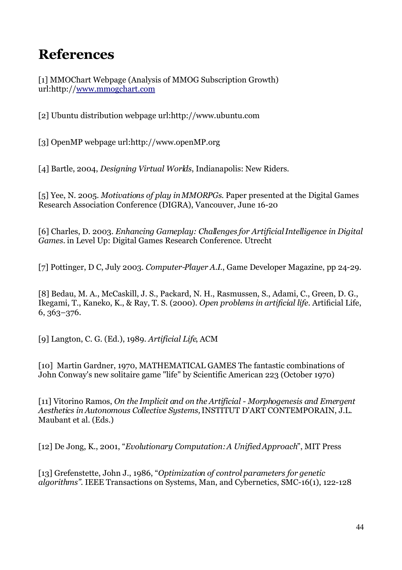# **References**

[1] MMOChart Webpage (Analysis of MMOG Subscription Growth) url:http:/[/www.mmogchart.com](http://www.mmogchart.com/)

[2] Ubuntu distribution webpage url:http://www.ubuntu.com

[3] OpenMP webpage url:http://www.openMP.org

[4] Bartle, 2004, *Designing Virtual Worlds*, Indianapolis: New Riders.

[5] Yee, N. 2005. *Motivations of play in MMORPGs*. Paper presented at the Digital Games Research Association Conference (DIGRA), Vancouver, June 16-20

[6] Charles, D. 2003. *Enhancing Gameplay: Challenges for Artificial Intelligence in Digital Games.* in Level Up: Digital Games Research Conference. Utrecht

[7] Pottinger, D C, July 2003. *Computer-Player A.I.*, Game Developer Magazine, pp 24-29.

[8] Bedau, M. A., McCaskill, J. S., Packard, N. H., Rasmussen, S., Adami, C., Green, D. G., Ikegami, T., Kaneko, K., & Ray, T. S. (2000). *Open problems in artificial life*. Artificial Life, 6, 363–376.

[9] Langton, C. G. (Ed.), 1989. *Artificial Life*, ACM

[10] Martin Gardner, 1970, MATHEMATICAL GAMES The fantastic combinations of John Conway's new solitaire game "life" by Scientific American 223 (October 1970)

[11] Vitorino Ramos, *On the Implicit and on the Artificial - Morphogenesis and Emergent Aesthetics in Autonomous Collective Systems,*INSTITUT D'ART CONTEMPORAIN, J.L. Maubant et al. (Eds.)

[12] De Jong, K., 2001, "*Evolutionary Computation: A Unified Approach*", MIT Press

[13] Grefenstette, John J., 1986, "*Optimization of control parameters for genetic algorithms"*. IEEE Transactions on Systems, Man, and Cybernetics, SMC-16(1), 122-128